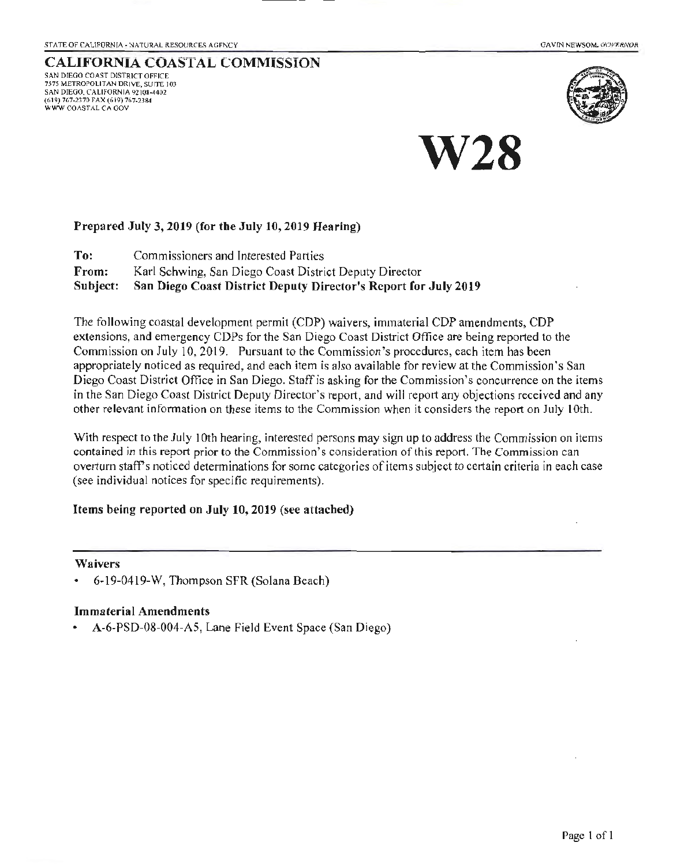#### CALIFORNIA COASTAL COMMISSION SAN DIEGO COAST DISTRICT OFFICE

757S M£TROPOLITAN DRIVE, SUITE IOJ SAN DIEGO. CALIFORNIA 92108-4402 (619) 767·23 70 fAX (619) 767-2384 WWW COASTAL CA GOV





### Prepared July 3, 2019 (for the July 10, 2019 Hearing)

To: Commissioners and Interested Parties From: Karl Schwing, San Diego Coast District Deputy Director Subject: San Diego Coast District Deputy Director's Report for July 2019

The following coastal development permit (CDP) waivers, immaterial CDP amendments, COP extensions, and emergency COPs for the San Diego Coast District Office are being reported to the Commission on July 10, 2019. Pursuant to the Commission's procedures, each item has been appropriately noticed as required, and each item is also available for review at the Commission's San Diego Coast District Office in San Diego. Staff is asking for the Commission's concurrence on the items in the San Diego Coast District Deputy Director's report, and will report any objections received and any other relevant information on these items to the Commission when it considers the report on July lOth.

With respect to the July 10th hearing, interested persons may sign up to address the Commission on items contained in this report prior to the Commission's consideration of lhis report. The Commission can overturn staff's noticed determinations for some categories of items subject to certain criteria in each case (see individual notices for specific requirements).

### Items being reported on July 10,2019 (see attached)

#### Waivers

• 6·19-0419-W, Thompson SFR (Solana Beach)

### Immaterial Amendments

• A·6·PSD-08-004-A5, Lane Field Event Space (San Diego)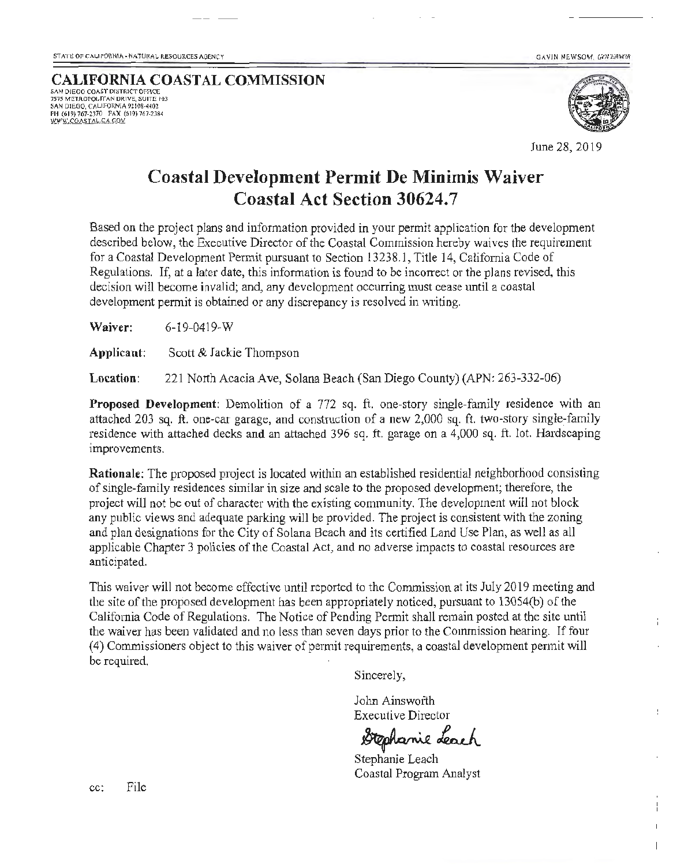GAVIN NEWSOM. GOVERNO!

## CALIFORNIA COASTAL COMMISSION SAN DIEGO COAST DISTRICT OFFICE<br>7575 METROPOLITAN DRIVE, SUITE 103 SAN DIEGO, CALIFORNIA 92108-4402<br>PH (619) 767-2370 - FAX (619) 767-2,184 WWW.COASTAL.CA.GOV



 $\frac{1}{2}$ 

June 28, 2019

## Coastal Development Permit De Minimis Waiver Coastal Act Section 30624.7

Based on the project plans and information provided in your permit application for the development described below, the Executive Director of the Coastal Commission hereby waives the requirement for a Coastal Development Permit pursuant to Section 13238.1, Title 14, California Code of Regulations. If, at a later date, this information is found to be incorrect or the plans revised, this decision will become invalid; and, any development occurring must cease until a coastal development permit is obtained or any discrepancy is resolved in writing.

Waiver: 6-1 9-0419-W

Applicant: Scott & Jackie Thompson

Location: 221 North Acacia Ave, Solana Beach (San Diego County) (APN: 263-332-06)

Proposed Development: Demolition of a 772 sq. ft. one-story single-family residence with an attached 203 sq. ft. one-car garage, and construction of a new 2,000 sq. ft. two-story single-family residence with attached decks and an attached 396 sq. ft. garage on a 4,000 sq. ft. lot. Hardscaping improvements.

Rationale: The proposed project is located within an established residential neighborhood consisting of single-family residences similar in size and scale to the proposed development; therefore, the project will not be out of character with the existing community. The development will not block any public views and adequate parking will be provided. The project is consistent with the zoning and plan designations for the City of Solana Beach and its certified Land Use Plan, as well as all applicable Chapter 3 policies of the Coastal Act, and no adverse impacts to coastal resources are anticipated.

This waiver will not become effective until reported to the Commission at its July 2019 meeting and the site of the proposed development has been appropriately noticed, pursuant to 13054(b) of the Califomia Code of Regulations. The Notice of Pending Permit shall remain posted at the site until the waiver has been validated and no less than seven days prior to the Commission hearing. If four (4) Commissioners object to this waiver of permit requirements, a coastal development permit will be required.

Sincerely,

John Ainsworth Executive Director

Stephanie Leach

Stephanie Leach Coastal Program Analyst

cc: File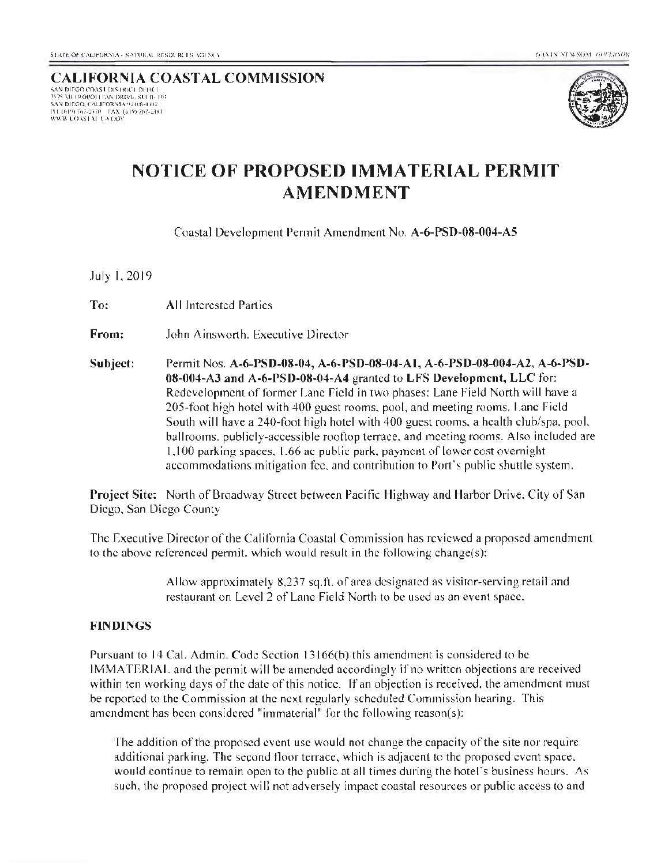### CALIFORNIA COASTAL COMMISSION 7575 METROPOLITAN DRIVE: SULIE 103 SAN DIEGO, CALIFORNIA <u>#2108-4302</u> I'll (619) 767-2370 = FAX (619) 767-2384<br>WWW.COASTAU (  $\lambda$  GOV



# NOTICE OF PROPOSED IMMATERIAL PERMIT AMENDMENT

Coastal Development Permit Amendment No. A-6-PSD-08-004-AS

.lulyl.2019

To: All Interested Parties

From: John Ainsworth. Executive Director

Subject: Permit Nos. A-6-PSD-08-04, A-6-PSD-08-04-A1, A-6-PSD-08-004-A2, A-6-PSD-08-004-AJ and A-6-PSD-08-04-A4 granted to LFS Development, LLC for: Redevelopment of former Lane field in two phases: Lane Field North will have a 205-foot high hotel with 400 guest rooms. pool, and meeting rooms. Lane field South will have a 240-foot high hotel with 400 guest rooms. a health cluh/spa. pool. ballrooms. publicly-accessible rooftop terrace. and meeting rooms. Also included are 1.100 parking spaces. 1.66 ac public park. payment of lower cost overnight accommodations mitigation fee, and contribution to Port's public shuttle system.

Project Site: North of Broadway Street between Pacific Highway and Harbor Drive. City of San Diego. San Diego County

The Executive Director of the California Coastal Commission has reviewed a proposed amendment to the above referenced permit. which would result in the following change(s):

> Allow approximately 8.237 sq.ll. of area designated as visitor-serving retail and restaurant on Level 2 of Lane Field North to be used as an event space.

### FINDINGS

Pursuant to 14 Cal. Admin. Code Section 13166(b) this amendment is considered to be IMMATERIAL and the permit will be amended accordingly if no written objections are received within ten working days of the date of this notice. If an objection is received, the amendment must be reported to the Commission at the next regularly scheduled Commission hearing. This amendment has been considered "immaterial" for the following reason(s):

The addition of the proposed event use would not change the capacity of the site nor require additional parking. The second floor terrace. which is adjacent to the proposed event space. would continue to remain open to the public at all times during the hotel's business hours. As such, the proposed project will not adversely impact coastal resources or public access to and